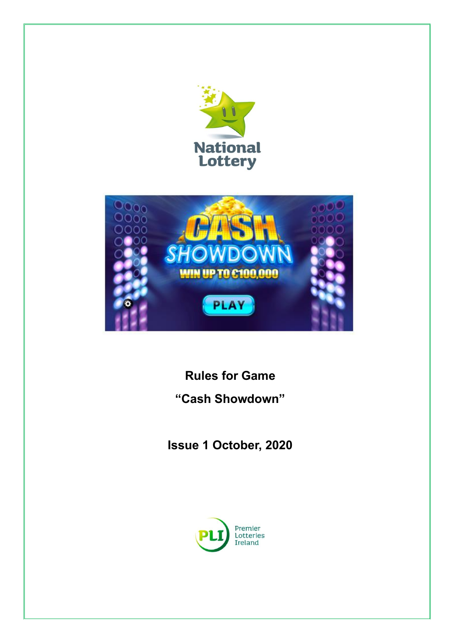



# **Rules for Game**

**"Cash Showdown"**

**Issue 1 October, 2020**

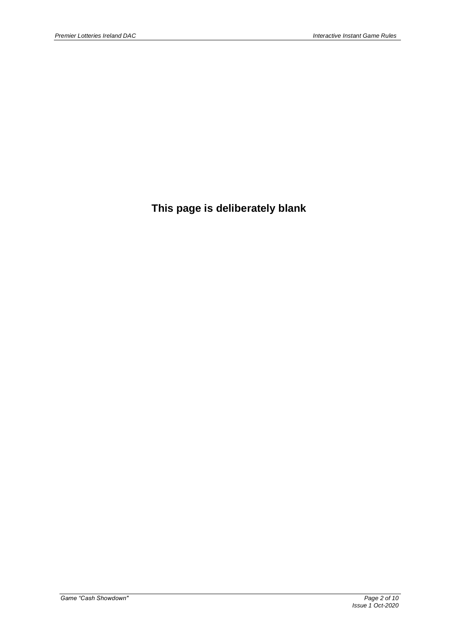**This page is deliberately blank**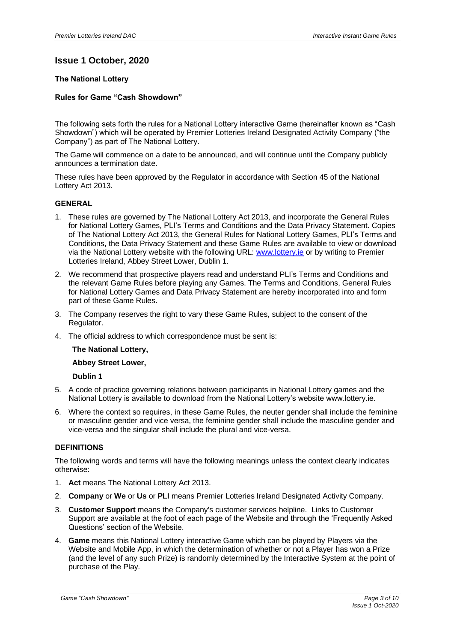# **Issue 1 October, 2020**

## **The National Lottery**

## **Rules for Game "Cash Showdown"**

The following sets forth the rules for a National Lottery interactive Game (hereinafter known as "Cash Showdown") which will be operated by Premier Lotteries Ireland Designated Activity Company ("the Company") as part of The National Lottery.

The Game will commence on a date to be announced, and will continue until the Company publicly announces a termination date.

These rules have been approved by the Regulator in accordance with Section 45 of the National Lottery Act 2013.

#### **GENERAL**

- 1. These rules are governed by The National Lottery Act 2013, and incorporate the General Rules for National Lottery Games, PLI's Terms and Conditions and the Data Privacy Statement. Copies of The National Lottery Act 2013, the General Rules for National Lottery Games, PLI's Terms and Conditions, the Data Privacy Statement and these Game Rules are available to view or download via the National Lottery website with the following URL: [www.lottery.ie](http://www.lotto.ie/) or by writing to Premier Lotteries Ireland, Abbey Street Lower, Dublin 1.
- 2. We recommend that prospective players read and understand PLI's Terms and Conditions and the relevant Game Rules before playing any Games. The Terms and Conditions, General Rules for National Lottery Games and Data Privacy Statement are hereby incorporated into and form part of these Game Rules.
- 3. The Company reserves the right to vary these Game Rules, subject to the consent of the Regulator.
- 4. The official address to which correspondence must be sent is:

## **The National Lottery,**

**Abbey Street Lower,**

#### **Dublin 1**

- 5. A code of practice governing relations between participants in National Lottery games and the National Lottery is available to download from the National Lottery's website www.lottery.ie.
- 6. Where the context so requires, in these Game Rules, the neuter gender shall include the feminine or masculine gender and vice versa, the feminine gender shall include the masculine gender and vice-versa and the singular shall include the plural and vice-versa.

## **DEFINITIONS**

The following words and terms will have the following meanings unless the context clearly indicates otherwise:

- 1. **Act** means The National Lottery Act 2013.
- 2. **Company** or **We** or **Us** or **PLI** means Premier Lotteries Ireland Designated Activity Company.
- 3. **Customer Support** means the Company's customer services helpline. Links to Customer Support are available at the foot of each page of the Website and through the 'Frequently Asked Questions' section of the Website.
- 4. **Game** means this National Lottery interactive Game which can be played by Players via the Website and Mobile App, in which the determination of whether or not a Player has won a Prize (and the level of any such Prize) is randomly determined by the Interactive System at the point of purchase of the Play.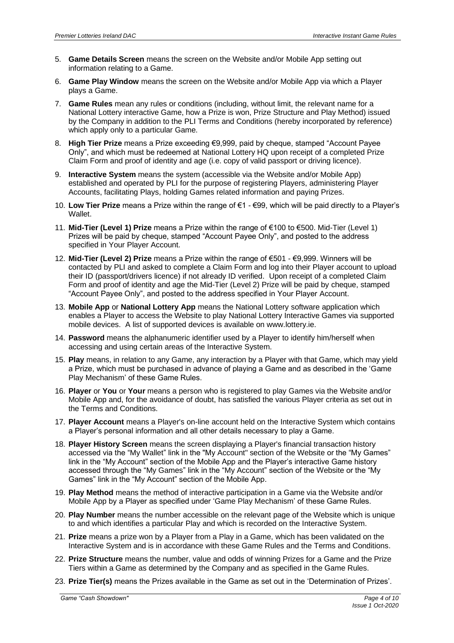- 5. **Game Details Screen** means the screen on the Website and/or Mobile App setting out information relating to a Game.
- 6. **Game Play Window** means the screen on the Website and/or Mobile App via which a Player plays a Game.
- 7. **Game Rules** mean any rules or conditions (including, without limit, the relevant name for a National Lottery interactive Game, how a Prize is won, Prize Structure and Play Method) issued by the Company in addition to the PLI Terms and Conditions (hereby incorporated by reference) which apply only to a particular Game.
- 8. **High Tier Prize** means a Prize exceeding €9,999, paid by cheque, stamped "Account Payee Only", and which must be redeemed at National Lottery HQ upon receipt of a completed Prize Claim Form and proof of identity and age (i.e. copy of valid passport or driving licence).
- 9. **Interactive System** means the system (accessible via the Website and/or Mobile App) established and operated by PLI for the purpose of registering Players, administering Player Accounts, facilitating Plays, holding Games related information and paying Prizes.
- 10. **Low Tier Prize** means a Prize within the range of €1 €99, which will be paid directly to a Player's Wallet.
- 11. **Mid-Tier (Level 1) Prize** means a Prize within the range of €100 to €500. Mid-Tier (Level 1) Prizes will be paid by cheque, stamped "Account Payee Only", and posted to the address specified in Your Player Account.
- 12. **Mid-Tier (Level 2) Prize** means a Prize within the range of €501 €9,999. Winners will be contacted by PLI and asked to complete a Claim Form and log into their Player account to upload their ID (passport/drivers licence) if not already ID verified. Upon receipt of a completed Claim Form and proof of identity and age the Mid-Tier (Level 2) Prize will be paid by cheque, stamped "Account Payee Only", and posted to the address specified in Your Player Account.
- 13. **Mobile App** or **National Lottery App** means the National Lottery software application which enables a Player to access the Website to play National Lottery Interactive Games via supported mobile devices. A list of supported devices is available on www.lottery.ie.
- 14. **Password** means the alphanumeric identifier used by a Player to identify him/herself when accessing and using certain areas of the Interactive System.
- 15. **Play** means, in relation to any Game, any interaction by a Player with that Game, which may yield a Prize, which must be purchased in advance of playing a Game and as described in the 'Game Play Mechanism' of these Game Rules.
- 16. **Player** or **You** or **Your** means a person who is registered to play Games via the Website and/or Mobile App and, for the avoidance of doubt, has satisfied the various Player criteria as set out in the Terms and Conditions.
- 17. **Player Account** means a Player's on-line account held on the Interactive System which contains a Player's personal information and all other details necessary to play a Game.
- 18. **Player History Screen** means the screen displaying a Player's financial transaction history accessed via the "My Wallet" link in the "My Account" section of the Website or the "My Games" link in the "My Account" section of the Mobile App and the Player's interactive Game history accessed through the "My Games" link in the "My Account" section of the Website or the "My Games" link in the "My Account" section of the Mobile App.
- 19. **Play Method** means the method of interactive participation in a Game via the Website and/or Mobile App by a Player as specified under 'Game Play Mechanism' of these Game Rules.
- 20. **Play Number** means the number accessible on the relevant page of the Website which is unique to and which identifies a particular Play and which is recorded on the Interactive System.
- 21. **Prize** means a prize won by a Player from a Play in a Game, which has been validated on the Interactive System and is in accordance with these Game Rules and the Terms and Conditions.
- 22. **Prize Structure** means the number, value and odds of winning Prizes for a Game and the Prize Tiers within a Game as determined by the Company and as specified in the Game Rules.
- 23. **Prize Tier(s)** means the Prizes available in the Game as set out in the 'Determination of Prizes'.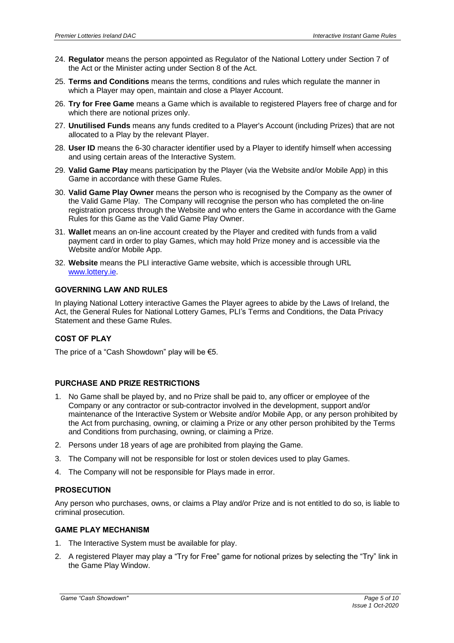- 24. **Regulator** means the person appointed as Regulator of the National Lottery under Section 7 of the Act or the Minister acting under Section 8 of the Act.
- 25. **Terms and Conditions** means the terms, conditions and rules which regulate the manner in which a Player may open, maintain and close a Player Account.
- 26. **Try for Free Game** means a Game which is available to registered Players free of charge and for which there are notional prizes only.
- 27. **Unutilised Funds** means any funds credited to a Player's Account (including Prizes) that are not allocated to a Play by the relevant Player.
- 28. **User ID** means the 6-30 character identifier used by a Player to identify himself when accessing and using certain areas of the Interactive System.
- 29. **Valid Game Play** means participation by the Player (via the Website and/or Mobile App) in this Game in accordance with these Game Rules.
- 30. **Valid Game Play Owner** means the person who is recognised by the Company as the owner of the Valid Game Play. The Company will recognise the person who has completed the on-line registration process through the Website and who enters the Game in accordance with the Game Rules for this Game as the Valid Game Play Owner.
- 31. **Wallet** means an on-line account created by the Player and credited with funds from a valid payment card in order to play Games, which may hold Prize money and is accessible via the Website and/or Mobile App.
- 32. **Website** means the PLI interactive Game website, which is accessible through URL www.lottery.ie.

## **GOVERNING LAW AND RULES**

In playing National Lottery interactive Games the Player agrees to abide by the Laws of Ireland, the Act, the General Rules for National Lottery Games, PLI's Terms and Conditions, the Data Privacy Statement and these Game Rules.

# **COST OF PLAY**

The price of a "Cash Showdown" play will be €5.

## **PURCHASE AND PRIZE RESTRICTIONS**

- 1. No Game shall be played by, and no Prize shall be paid to, any officer or employee of the Company or any contractor or sub-contractor involved in the development, support and/or maintenance of the Interactive System or Website and/or Mobile App, or any person prohibited by the Act from purchasing, owning, or claiming a Prize or any other person prohibited by the Terms and Conditions from purchasing, owning, or claiming a Prize.
- 2. Persons under 18 years of age are prohibited from playing the Game.
- 3. The Company will not be responsible for lost or stolen devices used to play Games.
- 4. The Company will not be responsible for Plays made in error.

## **PROSECUTION**

Any person who purchases, owns, or claims a Play and/or Prize and is not entitled to do so, is liable to criminal prosecution.

## **GAME PLAY MECHANISM**

- 1. The Interactive System must be available for play.
- 2. A registered Player may play a "Try for Free" game for notional prizes by selecting the "Try" link in the Game Play Window.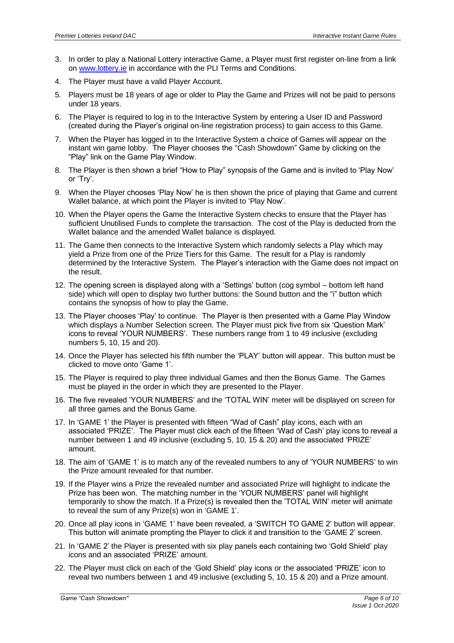- 3. In order to play a National Lottery interactive Game, a Player must first register on-line from a link on [www.lottery.ie](http://www.lotto.ie/) in accordance with the PLI Terms and Conditions.
- 4. The Player must have a valid Player Account.
- 5. Players must be 18 years of age or older to Play the Game and Prizes will not be paid to persons under 18 years.
- 6. The Player is required to log in to the Interactive System by entering a User ID and Password (created during the Player's original on-line registration process) to gain access to this Game.
- 7. When the Player has logged in to the Interactive System a choice of Games will appear on the instant win game lobby. The Player chooses the "Cash Showdown" Game by clicking on the "Play" link on the Game Play Window.
- 8. The Player is then shown a brief "How to Play" synopsis of the Game and is invited to 'Play Now' or 'Try'.
- 9. When the Player chooses 'Play Now' he is then shown the price of playing that Game and current Wallet balance, at which point the Player is invited to 'Play Now'.
- 10. When the Player opens the Game the Interactive System checks to ensure that the Player has sufficient Unutilised Funds to complete the transaction. The cost of the Play is deducted from the Wallet balance and the amended Wallet balance is displayed.
- 11. The Game then connects to the Interactive System which randomly selects a Play which may yield a Prize from one of the Prize Tiers for this Game. The result for a Play is randomly determined by the Interactive System. The Player's interaction with the Game does not impact on the result.
- 12. The opening screen is displayed along with a 'Settings' button (cog symbol bottom left hand side) which will open to display two further buttons: the Sound button and the "i" button which contains the synopsis of how to play the Game.
- 13. The Player chooses 'Play' to continue. The Player is then presented with a Game Play Window which displays a Number Selection screen. The Player must pick five from six 'Question Mark' icons to reveal 'YOUR NUMBERS'. These numbers range from 1 to 49 inclusive (excluding numbers 5, 10, 15 and 20).
- 14. Once the Player has selected his fifth number the 'PLAY' button will appear. This button must be clicked to move onto 'Game 1'.
- 15. The Player is required to play three individual Games and then the Bonus Game. The Games must be played in the order in which they are presented to the Player.
- 16. The five revealed 'YOUR NUMBERS' and the 'TOTAL WIN' meter will be displayed on screen for all three games and the Bonus Game.
- 17. In 'GAME 1' the Player is presented with fifteen "Wad of Cash" play icons, each with an associated 'PRIZE'. The Player must click each of the fifteen 'Wad of Cash' play icons to reveal a number between 1 and 49 inclusive (excluding 5, 10, 15 & 20) and the associated 'PRIZE' amount.
- 18. The aim of 'GAME 1' is to match any of the revealed numbers to any of 'YOUR NUMBERS' to win the Prize amount revealed for that number.
- 19. If the Player wins a Prize the revealed number and associated Prize will highlight to indicate the Prize has been won. The matching number in the 'YOUR NUMBERS' panel will highlight temporarily to show the match. If a Prize(s) is revealed then the 'TOTAL WIN' meter will animate to reveal the sum of any Prize(s) won in 'GAME 1'.
- 20. Once all play icons in 'GAME 1' have been revealed, a 'SWITCH TO GAME 2' button will appear. This button will animate prompting the Player to click it and transition to the 'GAME 2' screen.
- 21. In 'GAME 2' the Player is presented with six play panels each containing two 'Gold Shield' play icons and an associated 'PRIZE' amount.
- 22. The Player must click on each of the 'Gold Shield' play icons or the associated 'PRIZE' icon to reveal two numbers between 1 and 49 inclusive (excluding 5, 10, 15 & 20) and a Prize amount.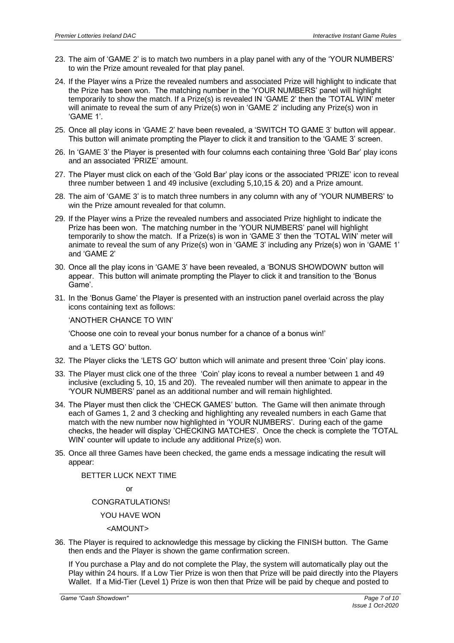- 23. The aim of 'GAME 2' is to match two numbers in a play panel with any of the 'YOUR NUMBERS' to win the Prize amount revealed for that play panel.
- 24. If the Player wins a Prize the revealed numbers and associated Prize will highlight to indicate that the Prize has been won. The matching number in the 'YOUR NUMBERS' panel will highlight temporarily to show the match. If a Prize(s) is revealed IN 'GAME 2' then the 'TOTAL WIN' meter will animate to reveal the sum of any Prize(s) won in 'GAME 2' including any Prize(s) won in 'GAME 1'.
- 25. Once all play icons in 'GAME 2' have been revealed, a 'SWITCH TO GAME 3' button will appear. This button will animate prompting the Player to click it and transition to the 'GAME 3' screen.
- 26. In 'GAME 3' the Player is presented with four columns each containing three 'Gold Bar' play icons and an associated 'PRIZE' amount.
- 27. The Player must click on each of the 'Gold Bar' play icons or the associated 'PRIZE' icon to reveal three number between 1 and 49 inclusive (excluding 5,10,15 & 20) and a Prize amount.
- 28. The aim of 'GAME 3' is to match three numbers in any column with any of 'YOUR NUMBERS' to win the Prize amount revealed for that column.
- 29. If the Player wins a Prize the revealed numbers and associated Prize highlight to indicate the Prize has been won. The matching number in the 'YOUR NUMBERS' panel will highlight temporarily to show the match. If a Prize(s) is won in 'GAME 3' then the 'TOTAL WIN' meter will animate to reveal the sum of any Prize(s) won in 'GAME 3' including any Prize(s) won in 'GAME 1' and 'GAME 2'
- 30. Once all the play icons in 'GAME 3' have been revealed, a 'BONUS SHOWDOWN' button will appear. This button will animate prompting the Player to click it and transition to the 'Bonus Game'.
- 31. In the 'Bonus Game' the Player is presented with an instruction panel overlaid across the play icons containing text as follows:

'ANOTHER CHANCE TO WIN'

'Choose one coin to reveal your bonus number for a chance of a bonus win!'

and a 'LETS GO' button.

- 32. The Player clicks the 'LETS GO' button which will animate and present three 'Coin' play icons.
- 33. The Player must click one of the three 'Coin' play icons to reveal a number between 1 and 49 inclusive (excluding 5, 10, 15 and 20). The revealed number will then animate to appear in the 'YOUR NUMBERS' panel as an additional number and will remain highlighted.
- 34. The Player must then click the 'CHECK GAMES' button. The Game will then animate through each of Games 1, 2 and 3 checking and highlighting any revealed numbers in each Game that match with the new number now highlighted in 'YOUR NUMBERS'. During each of the game checks, the header will display 'CHECKING MATCHES'. Once the check is complete the 'TOTAL WIN' counter will update to include any additional Prize(s) won.
- 35. Once all three Games have been checked, the game ends a message indicating the result will appear:

BETTER LUCK NEXT TIME

**or** *or* **or** 

CONGRATULATIONS!

YOU HAVE WON

<AMOUNT>

36. The Player is required to acknowledge this message by clicking the FINISH button. The Game then ends and the Player is shown the game confirmation screen.

If You purchase a Play and do not complete the Play, the system will automatically play out the Play within 24 hours. If a Low Tier Prize is won then that Prize will be paid directly into the Players Wallet. If a Mid-Tier (Level 1) Prize is won then that Prize will be paid by cheque and posted to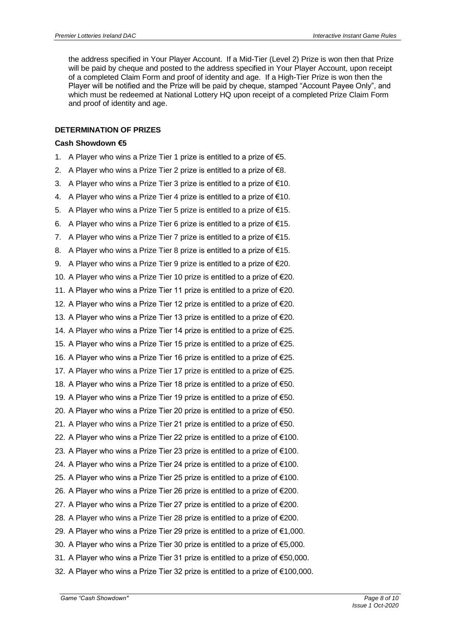the address specified in Your Player Account. If a Mid-Tier (Level 2) Prize is won then that Prize will be paid by cheque and posted to the address specified in Your Player Account, upon receipt of a completed Claim Form and proof of identity and age. If a High-Tier Prize is won then the Player will be notified and the Prize will be paid by cheque, stamped "Account Payee Only", and which must be redeemed at National Lottery HQ upon receipt of a completed Prize Claim Form and proof of identity and age.

## **DETERMINATION OF PRIZES**

#### **Cash Showdown €5**

- 1. A Player who wins a Prize Tier 1 prize is entitled to a prize of €5.
- 2. A Player who wins a Prize Tier 2 prize is entitled to a prize of  $€8$ .
- 3. A Player who wins a Prize Tier 3 prize is entitled to a prize of €10.
- 4. A Player who wins a Prize Tier 4 prize is entitled to a prize of €10.
- 5. A Player who wins a Prize Tier 5 prize is entitled to a prize of €15.
- 6. A Player who wins a Prize Tier 6 prize is entitled to a prize of €15.
- 7. A Player who wins a Prize Tier 7 prize is entitled to a prize of  $\epsilon$ 15.
- 8. A Player who wins a Prize Tier 8 prize is entitled to a prize of  $\epsilon$ 15.
- 9. A Player who wins a Prize Tier 9 prize is entitled to a prize of €20.
- 10. A Player who wins a Prize Tier 10 prize is entitled to a prize of €20.
- 11. A Player who wins a Prize Tier 11 prize is entitled to a prize of €20.
- 12. A Player who wins a Prize Tier 12 prize is entitled to a prize of €20.
- 13. A Player who wins a Prize Tier 13 prize is entitled to a prize of €20.
- 14. A Player who wins a Prize Tier 14 prize is entitled to a prize of €25.
- 15. A Player who wins a Prize Tier 15 prize is entitled to a prize of €25.
- 16. A Player who wins a Prize Tier 16 prize is entitled to a prize of €25.
- 17. A Player who wins a Prize Tier 17 prize is entitled to a prize of €25. 18. A Player who wins a Prize Tier 18 prize is entitled to a prize of €50.
- 19. A Player who wins a Prize Tier 19 prize is entitled to a prize of €50.
- 
- 20. A Player who wins a Prize Tier 20 prize is entitled to a prize of €50.
- 21. A Player who wins a Prize Tier 21 prize is entitled to a prize of €50.
- 22. A Player who wins a Prize Tier 22 prize is entitled to a prize of €100.
- 23. A Player who wins a Prize Tier 23 prize is entitled to a prize of €100.
- 24. A Player who wins a Prize Tier 24 prize is entitled to a prize of €100.
- 25. A Player who wins a Prize Tier 25 prize is entitled to a prize of €100.
- 26. A Player who wins a Prize Tier 26 prize is entitled to a prize of €200.
- 27. A Player who wins a Prize Tier 27 prize is entitled to a prize of €200.
- 28. A Player who wins a Prize Tier 28 prize is entitled to a prize of €200.
- 29. A Player who wins a Prize Tier 29 prize is entitled to a prize of €1,000.
- 30. A Player who wins a Prize Tier 30 prize is entitled to a prize of €5,000.
- 31. A Player who wins a Prize Tier 31 prize is entitled to a prize of €50,000.
- 32. A Player who wins a Prize Tier 32 prize is entitled to a prize of €100,000.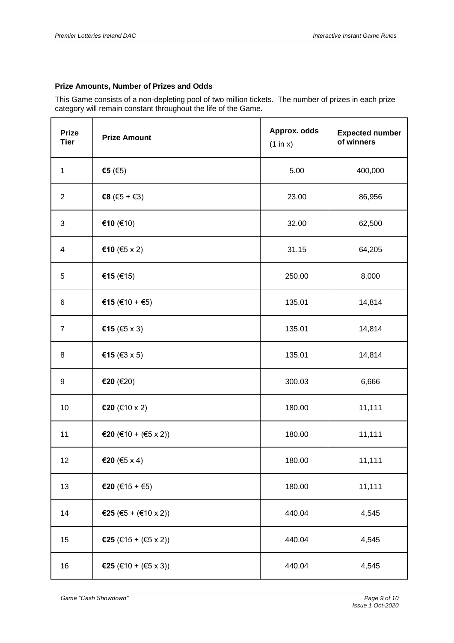## **Prize Amounts, Number of Prizes and Odds**

This Game consists of a non-depleting pool of two million tickets. The number of prizes in each prize category will remain constant throughout the life of the Game.

| <b>Prize</b><br><b>Tier</b> | <b>Prize Amount</b>  | Approx. odds<br>$(1 \text{ in } x)$ | <b>Expected number</b><br>of winners |
|-----------------------------|----------------------|-------------------------------------|--------------------------------------|
| $\mathbf{1}$                | €5 (€5)              | 5.00                                | 400,000                              |
| $\overline{2}$              | €8 (€5 + €3)         | 23.00                               | 86,956                               |
| 3                           | €10 (€10)            | 32.00                               | 62,500                               |
| 4                           | €10 (€5 x 2)         | 31.15                               | 64,205                               |
| 5                           | €15 (€15)            | 250.00                              | 8,000                                |
| 6                           | €15 (€10 + €5)       | 135.01                              | 14,814                               |
| $\overline{7}$              | €15 (€5 x 3)         | 135.01                              | 14,814                               |
| 8                           | €15 (€3 $\times$ 5)  | 135.01                              | 14,814                               |
| 9                           | €20 (€20)            | 300.03                              | 6,666                                |
| 10                          | €20 (€10 x 2)        | 180.00                              | 11,111                               |
| 11                          | €20 (€10 + (€5 x 2)) | 180.00                              | 11,111                               |
| 12                          | €20 (€5 x 4)         | 180.00                              | 11,111                               |
| 13                          | €20 (€15 + €5)       | 180.00                              | 11,111                               |
| 14                          | €25 (€5 + (€10 x 2)) | 440.04                              | 4,545                                |
| 15                          | €25 (€15 + (€5 x 2)) | 440.04                              | 4,545                                |
| 16                          | €25 (€10 + (€5 x 3)) | 440.04                              | 4,545                                |